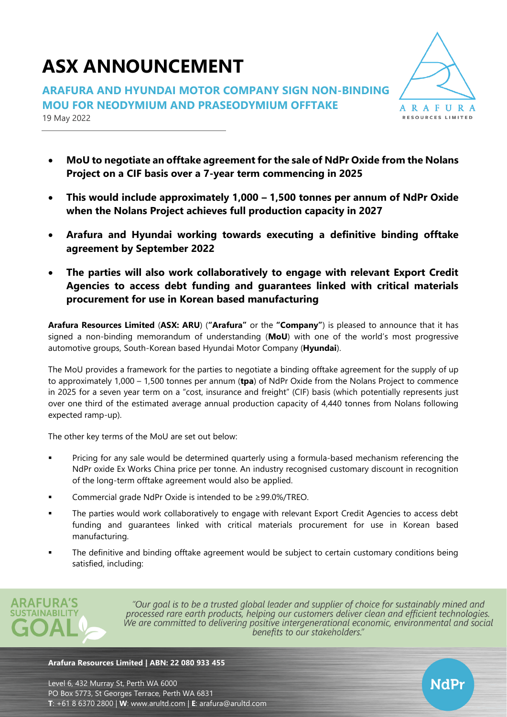# **ASX ANNOUNCEMENT**

**ARAFURA AND HYUNDAI MOTOR COMPANY SIGN NON-BINDING MOU FOR NEODYMIUM AND PRASEODYMIUM OFFTAKE** 19 May 2022



NdPr

- **MoU to negotiate an offtake agreement for the sale of NdPr Oxide from the Nolans Project on a CIF basis over a 7-year term commencing in 2025**
- **This would include approximately 1,000 – 1,500 tonnes per annum of NdPr Oxide when the Nolans Project achieves full production capacity in 2027**
- **Arafura and Hyundai working towards executing a definitive binding offtake agreement by September 2022**
- **The parties will also work collaboratively to engage with relevant Export Credit Agencies to access debt funding and guarantees linked with critical materials procurement for use in Korean based manufacturing**

**Arafura Resources Limited** (**ASX: ARU**) (**"Arafura"** or the **"Company"**) is pleased to announce that it has signed a non-binding memorandum of understanding (**MoU**) with one of the world's most progressive automotive groups, South-Korean based Hyundai Motor Company (**Hyundai**).

The MoU provides a framework for the parties to negotiate a binding offtake agreement for the supply of up to approximately 1,000 – 1,500 tonnes per annum (**tpa**) of NdPr Oxide from the Nolans Project to commence in 2025 for a seven year term on a "cost, insurance and freight" (CIF) basis (which potentially represents just over one third of the estimated average annual production capacity of 4,440 tonnes from Nolans following expected ramp-up).

The other key terms of the MoU are set out below:

- Pricing for any sale would be determined quarterly using a formula-based mechanism referencing the NdPr oxide Ex Works China price per tonne. An industry recognised customary discount in recognition of the long-term offtake agreement would also be applied.
- Commercial grade NdPr Oxide is intended to be ≥99.0%/TREO.
- **•** The parties would work collaboratively to engage with relevant Export Credit Agencies to access debt funding and guarantees linked with critical materials procurement for use in Korean based manufacturing.
- The definitive and binding offtake agreement would be subject to certain customary conditions being satisfied, including:



"Our goal is to be a trusted global leader and supplier of choice for sustainably mined and processed rare earth products, helping our customers deliver clean and efficient technologies. We are committed to delivering positive intergenerational economic, environmental and social benefits to our stakeholders."

#### **Arafura Resources Limited | ABN: 22 080 933 455**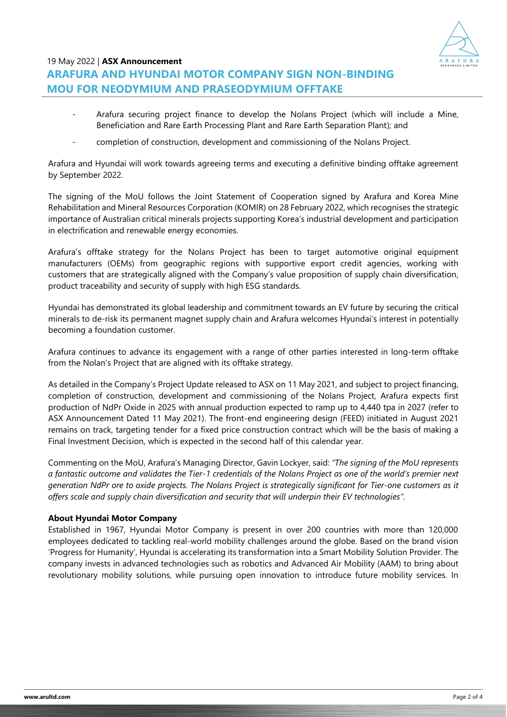

# 19 May 2022 | **ASX Announcement ARAFURA AND HYUNDAI MOTOR COMPANY SIGN NON-BINDING MOU FOR NEODYMIUM AND PRASEODYMIUM OFFTAKE**

- Arafura securing project finance to develop the Nolans Project (which will include a Mine, Beneficiation and Rare Earth Processing Plant and Rare Earth Separation Plant); and
- completion of construction, development and commissioning of the Nolans Project.

Arafura and Hyundai will work towards agreeing terms and executing a definitive binding offtake agreement by September 2022.

The signing of the MoU follows the Joint Statement of Cooperation signed by Arafura and Korea Mine Rehabilitation and Mineral Resources Corporation (KOMIR) on 28 February 2022, which recognises the strategic importance of Australian critical minerals projects supporting Korea's industrial development and participation in electrification and renewable energy economies.

Arafura's offtake strategy for the Nolans Project has been to target automotive original equipment manufacturers (OEMs) from geographic regions with supportive export credit agencies, working with customers that are strategically aligned with the Company's value proposition of supply chain diversification, product traceability and security of supply with high ESG standards.

Hyundai has demonstrated its global leadership and commitment towards an EV future by securing the critical minerals to de-risk its permanent magnet supply chain and Arafura welcomes Hyundai's interest in potentially becoming a foundation customer.

Arafura continues to advance its engagement with a range of other parties interested in long-term offtake from the Nolan's Project that are aligned with its offtake strategy.

As detailed in the Company's Project Update released to ASX on 11 May 2021, and subject to project financing, completion of construction, development and commissioning of the Nolans Project, Arafura expects first production of NdPr Oxide in 2025 with annual production expected to ramp up to 4,440 tpa in 2027 (refer to ASX Announcement Dated 11 May 2021). The front-end engineering design (FEED) initiated in August 2021 remains on track, targeting tender for a fixed price construction contract which will be the basis of making a Final Investment Decision, which is expected in the second half of this calendar year.

Commenting on the MoU, Arafura's Managing Director, Gavin Lockyer, said: *"The signing of the MoU represents a fantastic outcome and validates the Tier-1 credentials of the Nolans Project as one of the world's premier next generation NdPr ore to oxide projects. The Nolans Project is strategically significant for Tier-one customers as it offers scale and supply chain diversification and security that will underpin their EV technologies".*

# **About Hyundai Motor Company**

Established in 1967, Hyundai Motor Company is present in over 200 countries with more than 120,000 employees dedicated to tackling real-world mobility challenges around the globe. Based on the brand vision 'Progress for Humanity', Hyundai is accelerating its transformation into a Smart Mobility Solution Provider. The company invests in advanced technologies such as robotics and Advanced Air Mobility (AAM) to bring about revolutionary mobility solutions, while pursuing open innovation to introduce future mobility services. In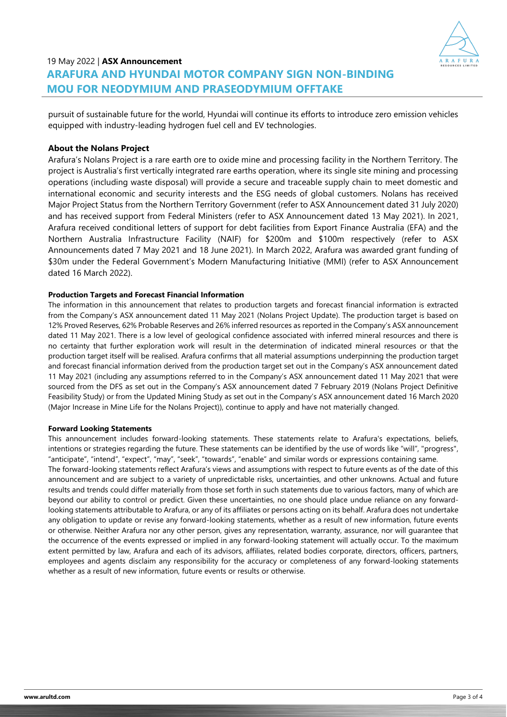

# 19 May 2022 | **ASX Announcement ARAFURA AND HYUNDAI MOTOR COMPANY SIGN NON-BINDING MOU FOR NEODYMIUM AND PRASEODYMIUM OFFTAKE**

pursuit of sustainable future for the world, Hyundai will continue its efforts to introduce zero emission vehicles equipped with industry-leading hydrogen fuel cell and EV technologies.

## **About the Nolans Project**

Arafura's Nolans Project is a rare earth ore to oxide mine and processing facility in the Northern Territory. The project is Australia's first vertically integrated rare earths operation, where its single site mining and processing operations (including waste disposal) will provide a secure and traceable supply chain to meet domestic and international economic and security interests and the ESG needs of global customers. Nolans has received Major Project Status from the Northern Territory Government (refer to ASX Announcement dated 31 July 2020) and has received support from Federal Ministers (refer to ASX Announcement dated 13 May 2021). In 2021, Arafura received conditional letters of support for debt facilities from Export Finance Australia (EFA) and the Northern Australia Infrastructure Facility (NAIF) for \$200m and \$100m respectively (refer to ASX Announcements dated 7 May 2021 and 18 June 2021). In March 2022, Arafura was awarded grant funding of \$30m under the Federal Government's Modern Manufacturing Initiative (MMI) (refer to ASX Announcement dated 16 March 2022).

#### **Production Targets and Forecast Financial Information**

The information in this announcement that relates to production targets and forecast financial information is extracted from the Company's ASX announcement dated 11 May 2021 (Nolans Project Update). The production target is based on 12% Proved Reserves, 62% Probable Reserves and 26% inferred resources as reported in the Company's ASX announcement dated 11 May 2021. There is a low level of geological confidence associated with inferred mineral resources and there is no certainty that further exploration work will result in the determination of indicated mineral resources or that the production target itself will be realised. Arafura confirms that all material assumptions underpinning the production target and forecast financial information derived from the production target set out in the Company's ASX announcement dated 11 May 2021 (including any assumptions referred to in the Company's ASX announcement dated 11 May 2021 that were sourced from the DFS as set out in the Company's ASX announcement dated 7 February 2019 (Nolans Project Definitive Feasibility Study) or from the Updated Mining Study as set out in the Company's ASX announcement dated 16 March 2020 (Major Increase in Mine Life for the Nolans Project)), continue to apply and have not materially changed.

#### **Forward Looking Statements**

This announcement includes forward-looking statements. These statements relate to Arafura's expectations, beliefs, intentions or strategies regarding the future. These statements can be identified by the use of words like "will", "progress", "anticipate", "intend", "expect", "may", "seek", "towards", "enable" and similar words or expressions containing same. The forward-looking statements reflect Arafura's views and assumptions with respect to future events as of the date of this announcement and are subject to a variety of unpredictable risks, uncertainties, and other unknowns. Actual and future results and trends could differ materially from those set forth in such statements due to various factors, many of which are beyond our ability to control or predict. Given these uncertainties, no one should place undue reliance on any forwardlooking statements attributable to Arafura, or any of its affiliates or persons acting on its behalf. Arafura does not undertake any obligation to update or revise any forward-looking statements, whether as a result of new information, future events or otherwise. Neither Arafura nor any other person, gives any representation, warranty, assurance, nor will guarantee that the occurrence of the events expressed or implied in any forward-looking statement will actually occur. To the maximum extent permitted by law, Arafura and each of its advisors, affiliates, related bodies corporate, directors, officers, partners, employees and agents disclaim any responsibility for the accuracy or completeness of any forward-looking statements whether as a result of new information, future events or results or otherwise.